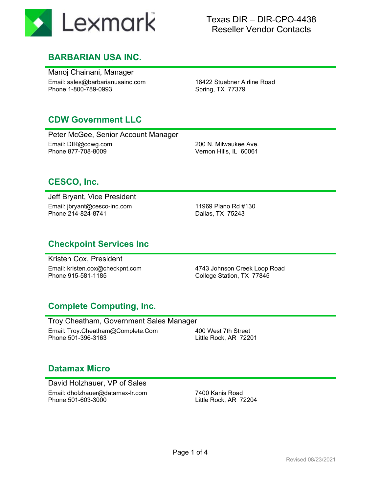

#### Texas DIR – DIR-CPO-4438 Reseller Vendor Contacts

#### **BARBARIAN USA INC.**

Manoj Chainani, Manager Email: sales@barbarianusainc.com Phone:1-800-789-0993

16422 Stuebner Airline Road Spring, TX 77379

#### **CDW Government LLC**

Peter McGee, Senior Account Manager Email: DIR@cdwg.com Phone:877-708-8009

200 N. Milwaukee Ave. Vernon Hills, IL 60061

## **CESCO, Inc.**

Jeff Bryant, Vice President Email: jbryant@cesco-inc.com Phone:214-824-8741

11969 Plano Rd #130 Dallas, TX 75243

#### **Checkpoint Services Inc**

Kristen Cox, President Email: kristen.cox@checkpnt.com Phone:915-581-1185

4743 Johnson Creek Loop Road College Station, TX 77845

## **Complete Computing, Inc.**

Troy Cheatham, Government Sales Manager Email: Troy.Cheatham@Complete.Com Phone:501-396-3163

400 West 7th Street Little Rock, AR 72201

#### **Datamax Micro**

David Holzhauer, VP of Sales Email: dholzhauer@datamax-lr.com Phone:501-603-3000

7400 Kanis Road Little Rock, AR 72204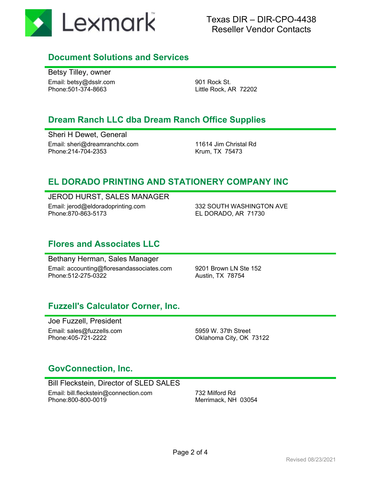

#### **Document Solutions and Services**

Betsy Tilley, owner Email: betsy@dsslr.com Phone:501-374-8663

901 Rock St. Little Rock, AR 72202

#### **Dream Ranch LLC dba Dream Ranch Office Supplies**

Sheri H Dewet, General Email: sheri@dreamranchtx.com Phone:214-704-2353

11614 Jim Christal Rd Krum, TX 75473

## **EL DORADO PRINTING AND STATIONERY COMPANY INC**

JEROD HURST, SALES MANAGER

Email: jerod@eldoradoprinting.com Phone:870-863-5173

332 SOUTH WASHINGTON AVE EL DORADO, AR 71730

#### **Flores and Associates LLC**

Bethany Herman, Sales Manager Email: accounting@floresandassociates.com Phone:512-275-0322

9201 Brown LN Ste 152 Austin, TX 78754

## **Fuzzell's Calculator Corner, Inc.**

Joe Fuzzell, President Email: sales@fuzzells.com Phone:405-721-2222

5959 W. 37th Street Oklahoma City, OK 73122

#### **GovConnection, Inc.**

Bill Fleckstein, Director of SLED SALES Email: bill.fleckstein@connection.com Phone:800-800-0019

732 Milford Rd Merrimack, NH 03054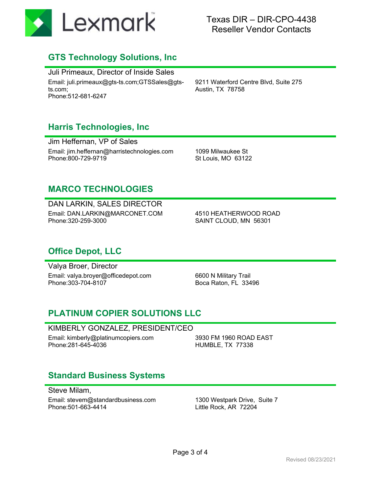

#### Texas DIR – DIR-CPO-4438 Reseller Vendor Contacts

#### **GTS Technology Solutions, Inc**

Juli Primeaux, Director of Inside Sales Email: juli.primeaux@gts-ts.com;GTSSales@gtsts.com; Phone:512-681-6247

9211 Waterford Centre Blvd, Suite 275 Austin, TX 78758

#### **Harris Technologies, Inc**

Jim Heffernan, VP of Sales Email: jim.heffernan@harristechnologies.com Phone:800-729-9719

1099 Milwaukee St St Louis, MO 63122

#### **MARCO TECHNOLOGIES**

#### DAN LARKIN, SALES DIRECTOR

Email: DAN.LARKIN@MARCONET.COM Phone:320-259-3000

4510 HEATHERWOOD ROAD SAINT CLOUD, MN 56301

#### **Office Depot, LLC**

Valya Broer, Director Email: valya.broyer@officedepot.com Phone:303-704-8107

6600 N Military Trail Boca Raton, FL 33496

## **PLATINUM COPIER SOLUTIONS LLC**

#### KIMBERLY GONZALEZ, PRESIDENT/CEO

Email: kimberly@platinumcopiers.com Phone:281-645-4036

3930 FM 1960 ROAD EAST HUMBLE, TX 77338

## **Standard Business Systems**

Steve Milam,

Email: stevem@standardbusiness.com Phone:501-663-4414

1300 Westpark Drive, Suite 7 Little Rock, AR 72204